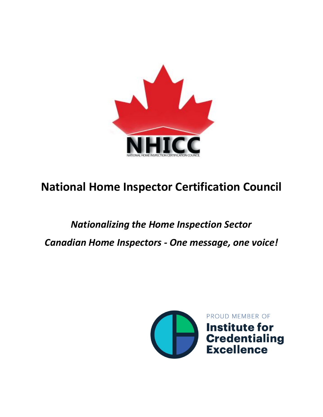

### **National Home Inspector Certification Council**

# *Nationalizing the Home Inspection Sector Canadian Home Inspectors - One message, one voice!*

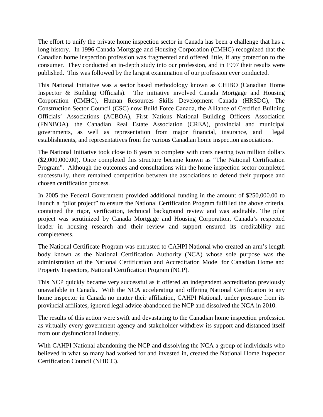The effort to unify the private home inspection sector in Canada has been a challenge that has a long history. In 1996 Canada Mortgage and Housing Corporation (CMHC) recognized that the Canadian home inspection profession was fragmented and offered little, if any protection to the consumer. They conducted an in-depth study into our profession, and in 1997 their results were published. This was followed by the largest examination of our profession ever conducted.

This National Initiative was a sector based methodology known as CHIBO (Canadian Home Inspector & Building Officials). The initiative involved Canada Mortgage and Housing Corporation (CMHC), Human Resources Skills Development Canada (HRSDC), The Construction Sector Council (CSC) now Build Force Canada, the Alliance of Certified Building Officials' Associations (ACBOA), First Nations National Building Officers Association (FNNBOA), the Canadian Real Estate Association (CREA), provincial and municipal governments, as well as representation from major financial, insurance, and legal establishments, and representatives from the various Canadian home inspection associations.

The National Initiative took close to 8 years to complete with costs nearing two million dollars (\$2,000,000.00). Once completed this structure became known as "The National Certification Program". Although the outcomes and consultations with the home inspection sector completed successfully, there remained competition between the associations to defend their purpose and chosen certification process.

In 2005 the Federal Government provided additional funding in the amount of \$250,000.00 to launch a "pilot project" to ensure the National Certification Program fulfilled the above criteria, contained the rigor, verification, technical background review and was auditable. The pilot project was scrutinized by Canada Mortgage and Housing Corporation, Canada's respected leader in housing research and their review and support ensured its creditability and completeness.

The National Certificate Program was entrusted to CAHPI National who created an arm's length body known as the National Certification Authority (NCA) whose sole purpose was the administration of the National Certification and Accreditation Model for Canadian Home and Property Inspectors, National Certification Program (NCP).

This NCP quickly became very successful as it offered an independent accreditation previously unavailable in Canada. With the NCA accelerating and offering National Certification to any home inspector in Canada no matter their affiliation, CAHPI National, under pressure from its provincial affiliates, ignored legal advice abandoned the NCP and dissolved the NCA in 2010.

The results of this action were swift and devastating to the Canadian home inspection profession as virtually every government agency and stakeholder withdrew its support and distanced itself from our dysfunctional industry.

With CAHPI National abandoning the NCP and dissolving the NCA a group of individuals who believed in what so many had worked for and invested in, created the National Home Inspector Certification Council (NHICC).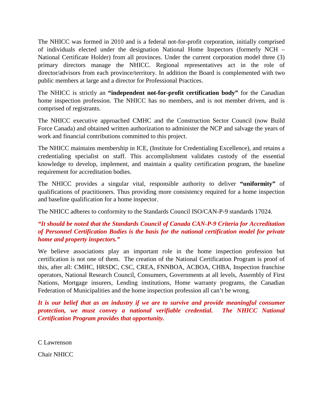The NHICC was formed in 2010 and is a federal not-for-profit corporation, initially comprised of individuals elected under the designation National Home Inspectors (formerly NCH – National Certificate Holder) from all provinces. Under the current corporation model three (3) primary directors manage the NHICC. Regional representatives act in the role of director/advisors from each province/territory. In addition the Board is complemented with two public members at large and a director for Professional Practices.

The NHICC is strictly an **"independent not-for-profit certification body"** for the Canadian home inspection profession. The NHICC has no members, and is not member driven, and is comprised of registrants.

The NHICC executive approached CMHC and the Construction Sector Council (now Build Force Canada) and obtained written authorization to administer the NCP and salvage the years of work and financial contributions committed to this project.

The NHICC maintains membership in ICE, (Institute for Credentialing Excellence), and retains a credentialing specialist on staff. This accomplishment validates custody of the essential knowledge to develop, implement, and maintain a quality certification program, the baseline requirement for accreditation bodies.

The NHICC provides a singular vital, responsible authority to deliver **"uniformity"** of qualifications of practitioners. Thus providing more consistency required for a home inspection and baseline qualification for a home inspector.

The NHICC adheres to conformity to the Standards Council ISO/CAN-P-9 standards 17024.

#### *"It should be noted that the Standards Council of Canada CAN-P-9 Criteria for Accreditation of Personnel Certification Bodies is the basis for the national certification model for private home and property inspectors."*

We believe associations play an important role in the home inspection profession but certification is not one of them. The creation of the National Certification Program is proof of this, after all: CMHC, HRSDC, CSC, CREA, FNNBOA, ACBOA, CHBA, Inspection franchise operators, National Research Council, Consumers, Governments at all levels, Assembly of First Nations, Mortgage insurers, Lending institutions, Home warranty programs, the Canadian Federation of Municipalities and the home inspection profession all can't be wrong.

It is our belief that as an industry if we are to survive and provide meaningful consumer *protection, we must convey a national verifiable credential. The NHICC National Certification Program provides that opportunity.* 

C Lawrenson

Chair NHICC